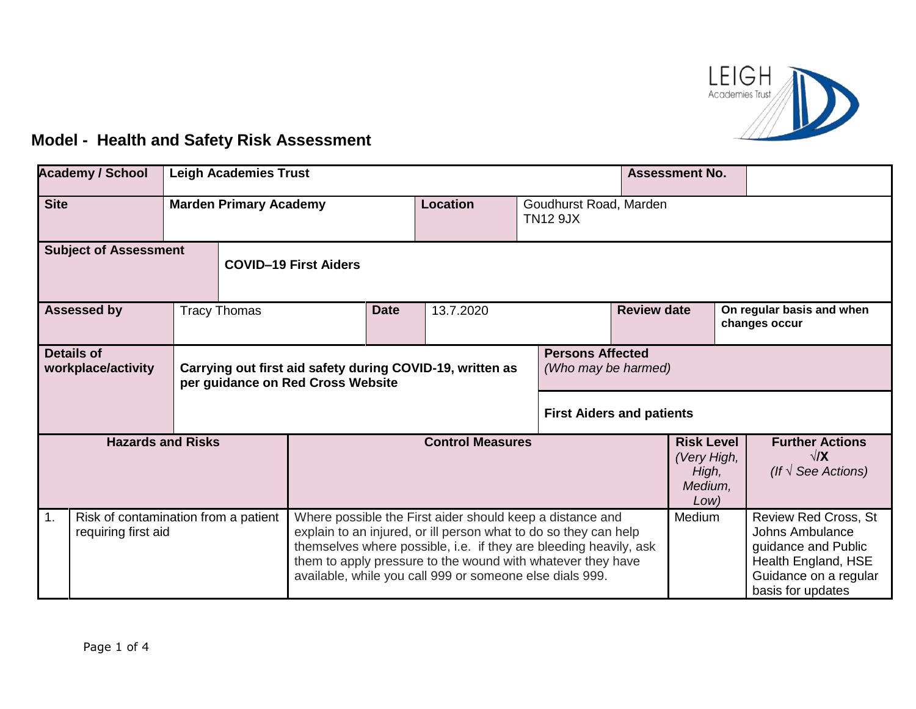

## **Model - Health and Safety Risk Assessment**

| <b>Academy / School</b><br><b>Leigh Academies Trust</b> |                                                             |  |                              |                                   |                                                                                                                                                                                                                                                                                                                               |                                                                                                             | <b>Assessment No.</b> |                                                              |                                            |                                                                     |                                                                                                                                            |  |
|---------------------------------------------------------|-------------------------------------------------------------|--|------------------------------|-----------------------------------|-------------------------------------------------------------------------------------------------------------------------------------------------------------------------------------------------------------------------------------------------------------------------------------------------------------------------------|-------------------------------------------------------------------------------------------------------------|-----------------------|--------------------------------------------------------------|--------------------------------------------|---------------------------------------------------------------------|--------------------------------------------------------------------------------------------------------------------------------------------|--|
| <b>Site</b><br><b>Marden Primary Academy</b>            |                                                             |  |                              |                                   | <b>Location</b>                                                                                                                                                                                                                                                                                                               | Goudhurst Road, Marden<br><b>TN12 9JX</b>                                                                   |                       |                                                              |                                            |                                                                     |                                                                                                                                            |  |
| <b>Subject of Assessment</b>                            |                                                             |  | <b>COVID-19 First Aiders</b> |                                   |                                                                                                                                                                                                                                                                                                                               |                                                                                                             |                       |                                                              |                                            |                                                                     |                                                                                                                                            |  |
| <b>Tracy Thomas</b><br><b>Assessed by</b>               |                                                             |  | <b>Date</b>                  | 13.7.2020                         | <b>Review date</b>                                                                                                                                                                                                                                                                                                            |                                                                                                             |                       |                                                              | On regular basis and when<br>changes occur |                                                                     |                                                                                                                                            |  |
| <b>Details of</b><br>workplace/activity                 |                                                             |  |                              | per guidance on Red Cross Website |                                                                                                                                                                                                                                                                                                                               | <b>Persons Affected</b><br>Carrying out first aid safety during COVID-19, written as<br>(Who may be harmed) |                       |                                                              |                                            |                                                                     |                                                                                                                                            |  |
|                                                         |                                                             |  |                              | <b>First Aiders and patients</b>  |                                                                                                                                                                                                                                                                                                                               |                                                                                                             |                       |                                                              |                                            |                                                                     |                                                                                                                                            |  |
| <b>Hazards and Risks</b>                                |                                                             |  | <b>Control Measures</b>      |                                   |                                                                                                                                                                                                                                                                                                                               |                                                                                                             |                       | <b>Risk Level</b><br>(Very High,<br>High,<br>Medium.<br>Low) |                                            | <b>Further Actions</b><br>$\sqrt{X}$<br>(If $\sqrt{ }$ See Actions) |                                                                                                                                            |  |
| 1.                                                      | Risk of contamination from a patient<br>requiring first aid |  |                              |                                   | Where possible the First aider should keep a distance and<br>explain to an injured, or ill person what to do so they can help<br>themselves where possible, i.e. if they are bleeding heavily, ask<br>them to apply pressure to the wound with whatever they have<br>available, while you call 999 or someone else dials 999. |                                                                                                             |                       |                                                              | Medium                                     |                                                                     | <b>Review Red Cross, St</b><br>Johns Ambulance<br>guidance and Public<br>Health England, HSE<br>Guidance on a regular<br>basis for updates |  |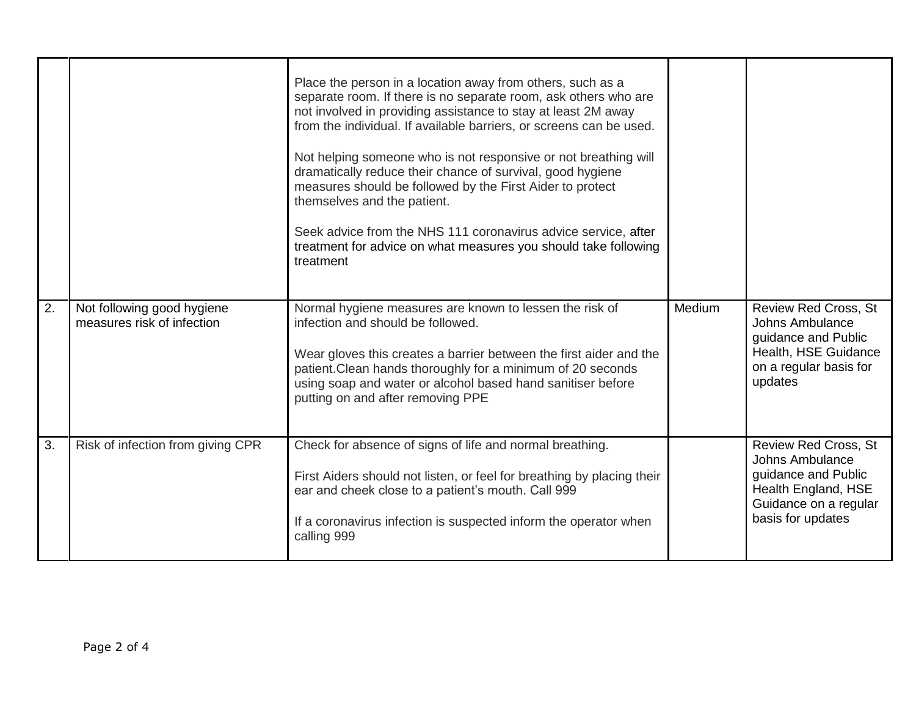|    |                                                          | Place the person in a location away from others, such as a<br>separate room. If there is no separate room, ask others who are<br>not involved in providing assistance to stay at least 2M away<br>from the individual. If available barriers, or screens can be used.<br>Not helping someone who is not responsive or not breathing will<br>dramatically reduce their chance of survival, good hygiene<br>measures should be followed by the First Aider to protect<br>themselves and the patient.<br>Seek advice from the NHS 111 coronavirus advice service, after<br>treatment for advice on what measures you should take following<br>treatment |        |                                                                                                                                            |
|----|----------------------------------------------------------|------------------------------------------------------------------------------------------------------------------------------------------------------------------------------------------------------------------------------------------------------------------------------------------------------------------------------------------------------------------------------------------------------------------------------------------------------------------------------------------------------------------------------------------------------------------------------------------------------------------------------------------------------|--------|--------------------------------------------------------------------------------------------------------------------------------------------|
| 2. | Not following good hygiene<br>measures risk of infection | Normal hygiene measures are known to lessen the risk of<br>infection and should be followed.<br>Wear gloves this creates a barrier between the first aider and the<br>patient. Clean hands thoroughly for a minimum of 20 seconds<br>using soap and water or alcohol based hand sanitiser before<br>putting on and after removing PPE                                                                                                                                                                                                                                                                                                                | Medium | <b>Review Red Cross, St</b><br>Johns Ambulance<br>guidance and Public<br>Health, HSE Guidance<br>on a regular basis for<br>updates         |
| 3. | Risk of infection from giving CPR                        | Check for absence of signs of life and normal breathing.<br>First Aiders should not listen, or feel for breathing by placing their<br>ear and cheek close to a patient's mouth. Call 999<br>If a coronavirus infection is suspected inform the operator when<br>calling 999                                                                                                                                                                                                                                                                                                                                                                          |        | <b>Review Red Cross, St</b><br>Johns Ambulance<br>guidance and Public<br>Health England, HSE<br>Guidance on a regular<br>basis for updates |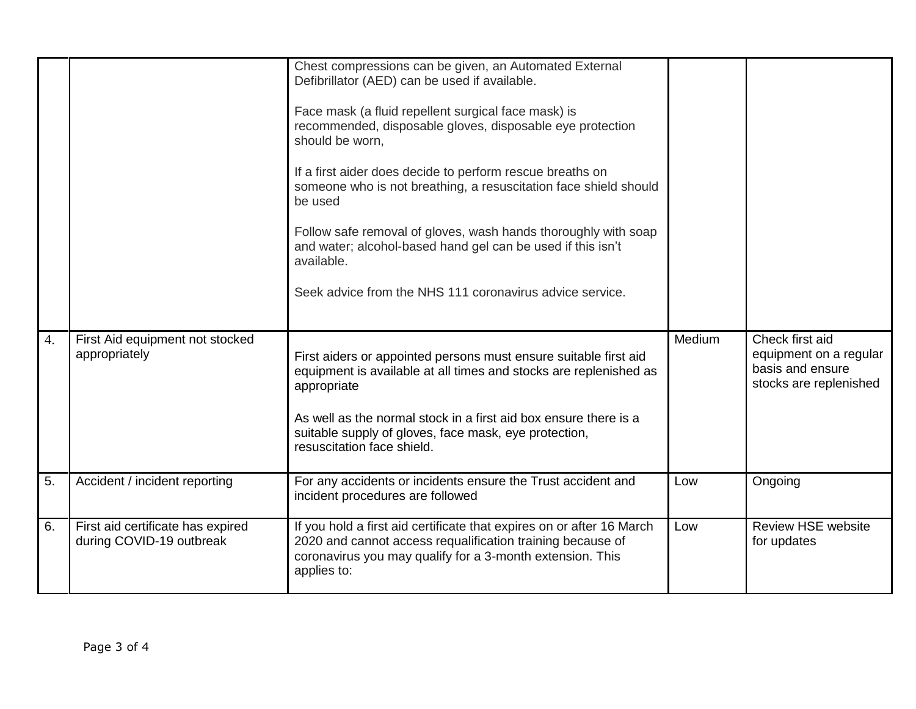|                    |                                                               | Chest compressions can be given, an Automated External<br>Defibrillator (AED) can be used if available.<br>Face mask (a fluid repellent surgical face mask) is<br>recommended, disposable gloves, disposable eye protection<br>should be worn,<br>If a first aider does decide to perform rescue breaths on<br>someone who is not breathing, a resuscitation face shield should<br>be used<br>Follow safe removal of gloves, wash hands thoroughly with soap<br>and water; alcohol-based hand gel can be used if this isn't<br>available.<br>Seek advice from the NHS 111 coronavirus advice service. |        |                                                                                         |
|--------------------|---------------------------------------------------------------|-------------------------------------------------------------------------------------------------------------------------------------------------------------------------------------------------------------------------------------------------------------------------------------------------------------------------------------------------------------------------------------------------------------------------------------------------------------------------------------------------------------------------------------------------------------------------------------------------------|--------|-----------------------------------------------------------------------------------------|
| $\boldsymbol{4}$ . | First Aid equipment not stocked<br>appropriately              | First aiders or appointed persons must ensure suitable first aid<br>equipment is available at all times and stocks are replenished as<br>appropriate<br>As well as the normal stock in a first aid box ensure there is a<br>suitable supply of gloves, face mask, eye protection,<br>resuscitation face shield.                                                                                                                                                                                                                                                                                       | Medium | Check first aid<br>equipment on a regular<br>basis and ensure<br>stocks are replenished |
| 5.                 | Accident / incident reporting                                 | For any accidents or incidents ensure the Trust accident and<br>incident procedures are followed                                                                                                                                                                                                                                                                                                                                                                                                                                                                                                      | Low    | Ongoing                                                                                 |
| 6.                 | First aid certificate has expired<br>during COVID-19 outbreak | If you hold a first aid certificate that expires on or after 16 March<br>2020 and cannot access requalification training because of<br>coronavirus you may qualify for a 3-month extension. This<br>applies to:                                                                                                                                                                                                                                                                                                                                                                                       | Low    | <b>Review HSE website</b><br>for updates                                                |